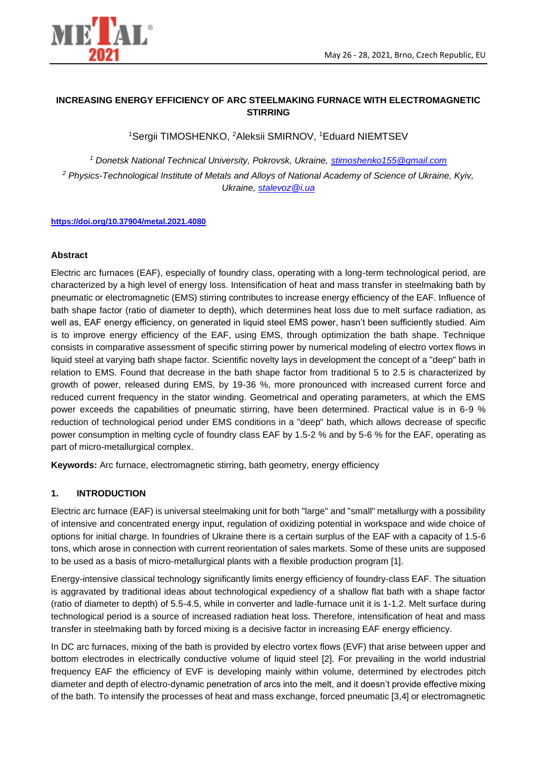

## **INCREASING ENERGY EFFICIENCY OF ARC STEELMAKING FURNACE WITH ELECTROMAGNETIC STIRRING**

<sup>1</sup>Sergii TIMOSHENKO, <sup>2</sup>Aleksii SMIRNOV, <sup>1</sup>Eduard NIEMTSEV

*<sup>1</sup> Donetsk National Technical University, Pokrovsk, Ukraine, [stimoshenko155@gmail.com](mailto:stimoshenko155@gmail.com) <sup>2</sup> Physics-Technological Institute of Metals and Alloys of National Academy of Science of Ukraine, Kyiv, Ukraine, [stalevoz@i.ua](mailto:stalevoz@i.ua)*

#### **<https://doi.org/10.37904/metal.2021.4080>**

#### **Abstract**

Electric arc furnaces (EAF), especially of foundry class, operating with a long-term technological period, are characterized by a high level of energy loss. Intensification of heat and mass transfer in steelmaking bath by pneumatic or electromagnetic (EMS) stirring contributes to increase energy efficiency of the EAF. Influence of bath shape factor (ratio of diameter to depth), which determines heat loss due to melt surface radiation, as well as, EAF energy efficiency, on generated in liquid steel EMS power, hasn't been sufficiently studied. Aim is to improve energy efficiency of the EAF, using EMS, through optimization the bath shape. Technique consists in comparative assessment of specific stirring power by numerical modeling of electro vortex flows in liquid steel at varying bath shape factor. Scientific novelty lays in development the concept of a "deep" bath in relation to EMS. Found that decrease in the bath shape factor from traditional 5 to 2.5 is characterized by growth of power, released during EMS, by 19-36 %, more pronounced with increased current force and reduced current frequency in the stator winding. Geometrical and operating parameters, at which the EMS power exceeds the capabilities of pneumatic stirring, have been determined. Practical value is in 6-9 % reduction of technological period under EMS conditions in a "deep" bath, which allows decrease of specific power consumption in melting cycle of foundry class EAF by 1.5-2 % and by 5-6 % for the EAF, operating as part of micro-metallurgical complex.

**Keywords:** Arc furnace, electromagnetic stirring, bath geometry, energy efficiency

#### **1. INTRODUCTION**

Electric arc furnace (EAF) is universal steelmaking unit for both "large" and "small" metallurgy with a possibility of intensive and concentrated energy input, regulation of oxidizing potential in workspace and wide choice of options for initial charge. In foundries of Ukraine there is a certain surplus of the EAF with a capacity of 1.5-6 tons, which arose in connection with current reorientation of sales markets. Some of these units are supposed to be used as a basis of micro-metallurgical plants with a flexible production program [1].

Energy-intensive classical technology significantly limits energy efficiency of foundry-class EAF. The situation is aggravated by traditional ideas about technological expediency of a shallow flat bath with a shape factor (ratio of diameter to depth) of 5.5-4.5, while in converter and ladle-furnace unit it is 1-1.2. Melt surface during technological period is a source of increased radiation heat loss. Therefore, intensification of heat and mass transfer in steelmaking bath by forced mixing is a decisive factor in increasing EAF energy efficiency.

In DC arc furnaces, mixing of the bath is provided by electro vortex flows (EVF) that arise between upper and bottom electrodes in electrically conductive volume of liquid steel [2]. For prevailing in the world industrial frequency EAF the efficiency of EVF is developing mainly within volume, determined by electrodes pitch diameter and depth of electro-dynamic penetration of arcs into the melt, and it doesn't provide effective mixing of the bath. To intensify the processes of heat and mass exchange, forced pneumatic [3,4] or electromagnetic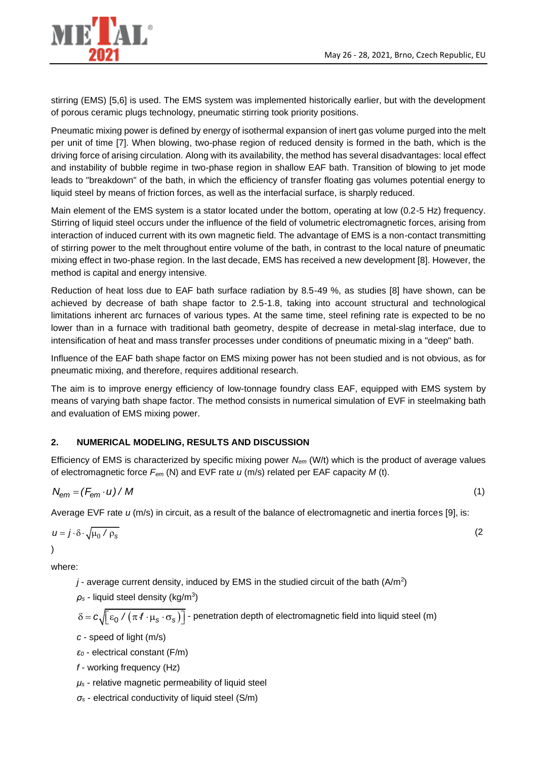

stirring (EMS) [5,6] is used. The EMS system was implemented historically earlier, but with the development of porous ceramic plugs technology, pneumatic stirring took priority positions.

Pneumatic mixing power is defined by energy of isothermal expansion of inert gas volume purged into the melt per unit of time [7]. When blowing, two-phase region of reduced density is formed in the bath, which is the driving force of arising circulation. Along with its availability, the method has several disadvantages: local effect and instability of bubble regime in two-phase region in shallow EAF bath. Transition of blowing to jet mode leads to "breakdown" of the bath, in which the efficiency of transfer floating gas volumes potential energy to liquid steel by means of friction forces, as well as the interfacial surface, is sharply reduced.

Main element of the EMS system is a stator located under the bottom, operating at low (0.2-5 Hz) frequency. Stirring of liquid steel occurs under the influence of the field of volumetric electromagnetic forces, arising from interaction of induced current with its own magnetic field. The advantage of EMS is a non-contact transmitting of stirring power to the melt throughout entire volume of the bath, in contrast to the local nature of pneumatic mixing effect in two-phase region. In the last decade, EMS has received a new development [8]. However, the method is capital and energy intensive.

Reduction of heat loss due to EAF bath surface radiation by 8.5-49 %, as studies [8] have shown, can be achieved by decrease of bath shape factor to 2.5-1.8, taking into account structural and technological limitations inherent arc furnaces of various types. At the same time, steel refining rate is expected to be no lower than in a furnace with traditional bath geometry, despite of decrease in metal-slag interface, due to intensification of heat and mass transfer processes under conditions of pneumatic mixing in a "deep" bath.

Influence of the EAF bath shape factor on EMS mixing power has not been studied and is not obvious, as for pneumatic mixing, and therefore, requires additional research.

The aim is to improve energy efficiency of low-tonnage foundry class EAF, equipped with EMS system by means of varying bath shape factor. The method consists in numerical simulation of EVF in steelmaking bath and evaluation of EMS mixing power.

# **2. NUMERICAL MODELING, RESULTS AND DISCUSSION**

Efficiency of EMS is characterized by specific mixing power *Nem* (W/t) which is the product of average values of electromagnetic force *Fem* (N) and EVF rate *u* (m/s) related per EAF capacity *M* (t).

$$
N_{\rm em} = (F_{\rm em} \cdot u) / M \tag{1}
$$

Average EVF rate *u* (m/s) in circuit, as a result of the balance of electromagnetic and inertia forces [9], is:

$$
u = j \cdot \delta \cdot \sqrt{\mu_0 / \rho_s}
$$
 (2)

where:

 $j$ - average current density, induced by EMS in the studied circuit of the bath  $(A/m<sup>2</sup>)$ 

 $\rho_s$  - liquid steel density (kg/m<sup>3</sup>)

$$
\delta = c \sqrt{\varepsilon_0 / (\pi f \cdot \mu_s \cdot \sigma_s)} \bigg]
$$
 - penetration depth of electromagnetic field into liquid steel (m)

*c* - speed of light (m/s)

*ε<sup>0</sup>* - electrical constant (F/m)

*f -* working frequency (Hz)

*μ<sup>s</sup>* - relative magnetic permeability of liquid steel

*σ<sup>s</sup>* - electrical conductivity of liquid steel (S/m)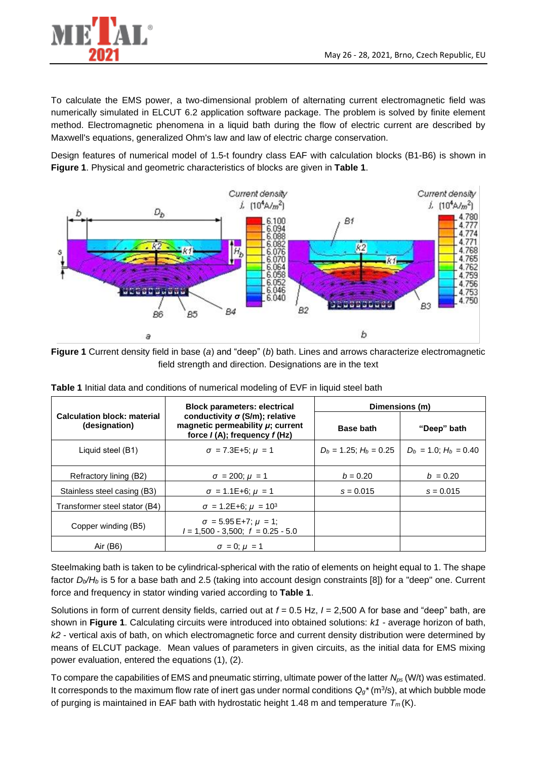

To calculate the EMS power, a two-dimensional problem of alternating current electromagnetic field was numerically simulated in ELCUT 6.2 application software package. The problem is solved by finite element method. Electromagnetic phenomena in a liquid bath during the flow of electric current are described by Maxwell's equations, generalized Ohm's law and law of electric charge conservation.

Design features of numerical model of 1.5-t foundry class EAF with calculation blocks (B1-B6) is shown in **Figure 1**. Physical and geometric characteristics of blocks are given in **Table 1**.



**Figure 1** Current density field in base (*a*) and "deep" (*b*) bath. Lines and arrows characterize electromagnetic field strength and direction. Designations are in the text

|                                                     | <b>Block parameters: electrical</b><br>conductivity $\sigma$ (S/m); relative<br>magnetic permeability $\mu$ ; current<br>force $I(A)$ ; frequency $f(Hz)$ | Dimensions (m)              |                            |
|-----------------------------------------------------|-----------------------------------------------------------------------------------------------------------------------------------------------------------|-----------------------------|----------------------------|
| <b>Calculation block: material</b><br>(designation) |                                                                                                                                                           | <b>Base bath</b>            | "Deep" bath                |
| Liquid steel (B1)                                   | $\sigma$ = 7.3E+5; $\mu$ = 1                                                                                                                              | $D_b = 1.25$ ; $H_b = 0.25$ | $D_h = 1.0$ : $H_b = 0.40$ |
| Refractory lining (B2)                              | $\sigma = 200; \mu = 1$                                                                                                                                   | $b = 0.20$                  | $b = 0.20$                 |
| Stainless steel casing (B3)                         | $\sigma = 1.1E + 6$ ; $\mu = 1$                                                                                                                           | $s = 0.015$                 | $s = 0.015$                |
| Transformer steel stator (B4)                       | $\sigma = 1.2E + 6$ ; $\mu = 10^3$                                                                                                                        |                             |                            |
| Copper winding (B5)                                 | $\sigma = 5.95 E+7$ ; $\mu = 1$ ;<br>$l = 1,500 - 3,500$ ; $f = 0.25 - 5.0$                                                                               |                             |                            |
| Air (B6)                                            | $\sigma = 0$ : $\mu = 1$                                                                                                                                  |                             |                            |

**Table 1** Initial data and conditions of numerical modeling of EVF in liquid steel bath

Steelmaking bath is taken to be cylindrical-spherical with the ratio of elements on height equal to 1. The shape factor *Db/H<sup>b</sup>* is 5 for a base bath and 2.5 (taking into account design constraints [8]) for a "deep" one. Current force and frequency in stator winding varied according to **Table 1**.

Solutions in form of current density fields, carried out at *f* = 0.5 Hz, *I* = 2,500 A for base and "deep" bath, are shown in **Figure 1**. Calculating circuits were introduced into obtained solutions: *k1* - average horizon of bath, *k2* - vertical axis of bath, on which electromagnetic force and current density distribution were determined by means of ELCUT package. Mean values of parameters in given circuits, as the initial data for EMS mixing power evaluation, entered the equations (1), (2).

To compare the capabilities of EMS and pneumatic stirring, ultimate power of the latter *Nps* (W/t) was estimated. It corresponds to the maximum flow rate of inert gas under normal conditions  $Q_g^*(m^3/s)$ , at which bubble mode of purging is maintained in EAF bath with hydrostatic height 1.48 m and temperature *T<sup>m</sup>* (K).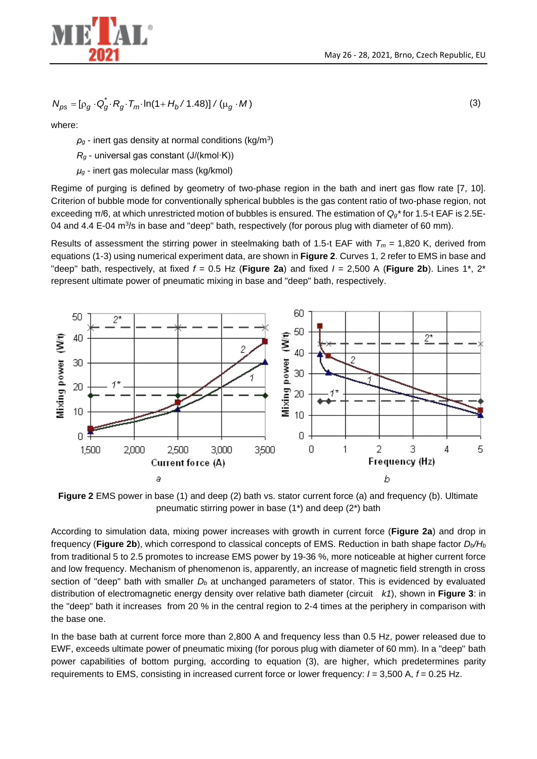

$$
N_{ps} = [\rho_g \cdot Q_g^* \cdot R_g \cdot T_m \cdot \ln(1 + H_b / 1.48)] / (\mu_g \cdot M)
$$
 (3)

where:

 $\rho_g$  - inert gas density at normal conditions (kg/m<sup>3</sup>)

*R<sup>g</sup>* - universal gas constant (J/(kmol·K))

*μ<sup>g</sup>* - inert gas molecular mass (kg/kmol)

Regime of purging is defined by geometry of two-phase region in the bath and inert gas flow rate [7, 10]. Criterion of bubble mode for conventionally spherical bubbles is the gas content ratio of two-phase region, not exceeding π/6, at which unrestricted motion of bubbles is ensured. The estimation of *Qg\** for 1.5-t EAF is 2.5E-04 and 4.4 E-04 m<sup>3</sup>/s in base and "deep" bath, respectively (for porous plug with diameter of 60 mm).

Results of assessment the stirring power in steelmaking bath of 1.5-t EAF with  $T_m = 1,820$  K, derived from equations (1-3) using numerical experiment data, are shown in **Figure 2**. Curves 1, 2 refer to EMS in base and "deep" bath, respectively, at fixed *f* = 0.5 Hz (**Figure 2a**) and fixed *I* = 2,500 A (**Figure 2b**). Lines 1\*, 2\* represent ultimate power of pneumatic mixing in base and "deep" bath, respectively.



**Figure 2** EMS power in base (1) and deep (2) bath vs. stator current force (a) and frequency (b). Ultimate pneumatic stirring power in base (1\*) and deep (2\*) bath

According to simulation data, mixing power increases with growth in current force (**Figure 2a**) and drop in frequency (**Figure 2b**), which correspond to classical concepts of EMS. Reduction in bath shape factor *Db/H<sup>b</sup>* from traditional 5 to 2.5 promotes to increase EMS power by 19-36 %, more noticeable at higher current force and low frequency. Mechanism of phenomenon is, apparently, an increase of magnetic field strength in cross section of "deep" bath with smaller *D<sup>b</sup>* at unchanged parameters of stator. This is evidenced by evaluated distribution of electromagnetic energy density over relative bath diameter (circuit *k1*), shown in **Figure 3**: in the "deep" bath it increases from 20 % in the central region to 2-4 times at the periphery in comparison with the base one.

In the base bath at current force more than 2,800 A and frequency less than 0.5 Hz, power released due to EWF, exceeds ultimate power of pneumatic mixing (for porous plug with diameter of 60 mm). In a "deep" bath power capabilities of bottom purging, according to equation (3), are higher, which predetermines parity requirements to EMS, consisting in increased current force or lower frequency: *I* = 3,500 A, *f* = 0.25 Hz.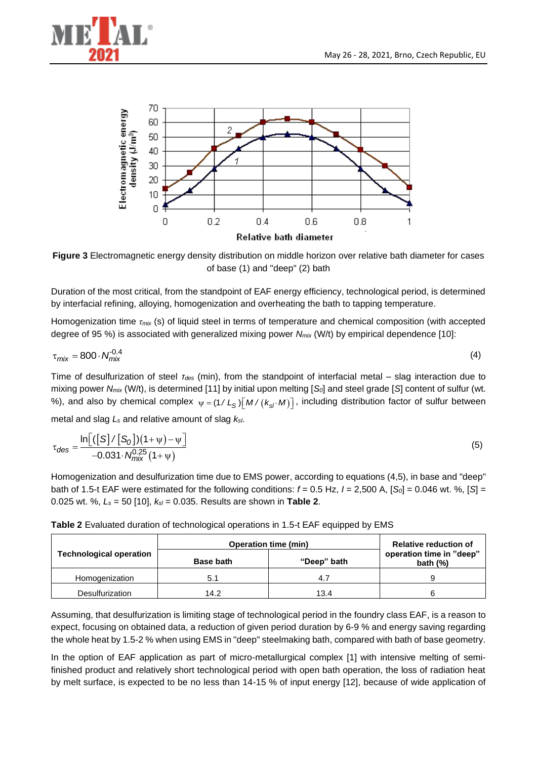



**Figure 3** Electromagnetic energy density distribution on middle horizon over relative bath diameter for cases of base (1) and "deep" (2) bath

Duration of the most critical, from the standpoint of EAF energy efficiency, technological period, is determined by interfacial refining, alloying, homogenization and overheating the bath to tapping temperature.

Homogenization time *τmix* (s) of liquid steel in terms of temperature and chemical composition (with accepted degree of 95 %) is associated with generalized mixing power *Nmix* (W/t) by empirical dependence [10]:

$$
\tau_{mix} = 800 \cdot N_{mix}^{0.4} \tag{4}
$$

Time of desulfurization of steel *τdes* (min), from the standpoint of interfacial metal – slag interaction due to mixing power *Nmix* (W/t), is determined [11] by initial upon melting [*S0*] and steel grade [*S*] content of sulfur (wt. %), and also by chemical complex  $\psi = (1/L_S) [M/(k_{s}/M)]$ , including distribution factor of sulfur between

metal and slag *L<sup>s</sup>* and relative amount of slag *ksl*.

$$
\tau_{des} = \frac{\ln\left[\left(\left[S\right]/\left[S_0\right]\right)\left(1+\psi\right)-\psi\right]}{-0.031 \cdot N_{mix}^{0.25}\left(1+\psi\right)}
$$
\n(5)

Homogenization and desulfurization time due to EMS power, according to equations (4,5), in base and "deep" bath of 1.5-t EAF were estimated for the following conditions:  $f = 0.5$  Hz,  $I = 2,500$  A,  $[S_0] = 0.046$  wt. %,  $[S] =$ 0.025 wt. %, *L<sup>s</sup>* = 50 [10], *ksl* = 0.035. Results are shown in **Table 2**.

**Table 2** Evaluated duration of technological operations in 1.5-t EAF equipped by EMS

| <b>Technological operation</b> | <b>Operation time (min)</b> |             | <b>Relative reduction of</b>            |
|--------------------------------|-----------------------------|-------------|-----------------------------------------|
|                                | <b>Base bath</b>            | "Deep" bath | operation time in "deep"<br>bath $(\%)$ |
| Homogenization                 | 5.1                         | 4.          |                                         |
| <b>Desulfurization</b>         | 14.2                        | 13.4        |                                         |

Assuming, that desulfurization is limiting stage of technological period in the foundry class EAF, is a reason to expect, focusing on obtained data, a reduction of given period duration by 6-9 % and energy saving regarding the whole heat by 1.5-2 % when using EMS in "deep" steelmaking bath, compared with bath of base geometry.

In the option of EAF application as part of micro-metallurgical complex [1] with intensive melting of semifinished product and relatively short technological period with open bath operation, the loss of radiation heat by melt surface, is expected to be no less than 14-15 % of input energy [12], because of wide application of